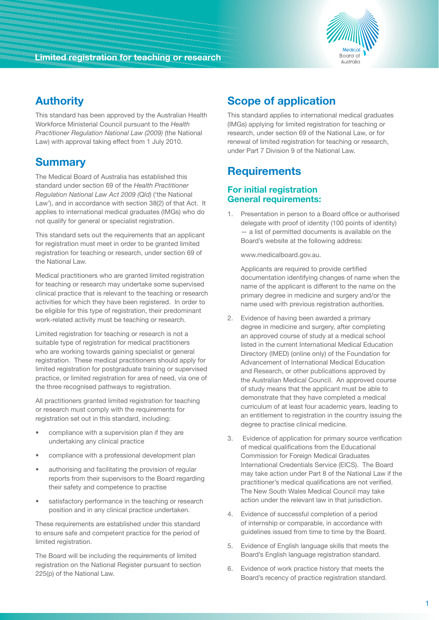

## **Authority**

This standard has been approved by the Australian Health Workforce Ministerial Council pursuant to the *Health Practitioner Regulation National Law (2009)* (the National Law) with approval taking effect from 1 July 2010.

### **Summary**

The Medical Board of Australia has established this standard under section 69 of the *Health Practitioner Regulation National Law Act 2009 (Qld)* ('the National Law'), and in accordance with section 38(2) of that Act. It applies to international medical graduates (IMGs) who do not qualify for general or specialist registration.

This standard sets out the requirements that an applicant for registration must meet in order to be granted limited registration for teaching or research, under section 69 of the National Law.

Medical practitioners who are granted limited registration for teaching or research may undertake some supervised clinical practice that is relevant to the teaching or research activities for which they have been registered. In order to be eligible for this type of registration, their predominant work-related activity must be teaching or research.

Limited registration for teaching or research is not a suitable type of registration for medical practitioners who are working towards gaining specialist or general registration. These medical practitioners should apply for limited registration for postgraduate training or supervised practice, or limited registration for area of need, via one of the three recognised pathways to registration.

All practitioners granted limited registration for teaching or research must comply with the requirements for registration set out in this standard, including:

- compliance with a supervision plan if they are undertaking any clinical practice
- compliance with a professional development plan
- authorising and facilitating the provision of regular reports from their supervisors to the Board regarding their safety and competence to practise
- satisfactory performance in the teaching or research position and in any clinical practice undertaken.

These requirements are established under this standard to ensure safe and competent practice for the period of limited registration.

The Board will be including the requirements of limited registration on the National Register pursuant to section 225(p) of the National Law.

# **Scope of application**

This standard applies to international medical graduates (IMGs) applying for limited registration for teaching or research, under section 69 of the National Law, or for renewal of limited registration for teaching or research, under Part 7 Division 9 of the National Law.

## **Requirements**

#### **For initial registration General requirements:**

1. Presentation in person to a Board office or authorised delegate with proof of identity (100 points of identity) — a list of permitted documents is available on the Board's website at the following address:

www.medicalboard.gov.au.

 Applicants are required to provide certified documentation identifying changes of name when the name of the applicant is different to the name on the primary degree in medicine and surgery and/or the name used with previous registration authorities.

- 2. Evidence of having been awarded a primary degree in medicine and surgery, after completing an approved course of study at a medical school listed in the current International Medical Education Directory (IMED) (online only) of the Foundation for Advancement of International Medical Education and Research, or other publications approved by the Australian Medical Council. An approved course of study means that the applicant must be able to demonstrate that they have completed a medical curriculum of at least four academic years, leading to an entitlement to registration in the country issuing the degree to practise clinical medicine.
- 3. Evidence of application for primary source verification of medical qualifications from the Educational Commission for Foreign Medical Graduates International Credentials Service (EICS). The Board may take action under Part 8 of the National Law if the practitioner's medical qualifications are not verified. The New South Wales Medical Council may take action under the relevant law in that jurisdiction.
- 4. Evidence of successful completion of a period of internship or comparable, in accordance with guidelines issued from time to time by the Board.
- 5. Evidence of English language skills that meets the Board's English language registration standard.
- 6. Evidence of work practice history that meets the Board's recency of practice registration standard.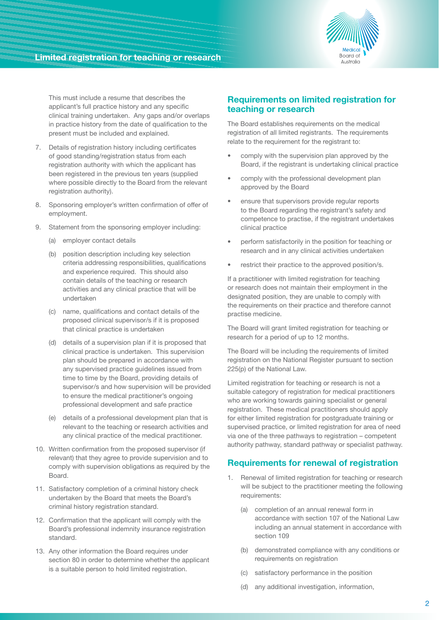

This must include a resume that describes the applicant's full practice history and any specific clinical training undertaken. Any gaps and/or overlaps in practice history from the date of qualification to the present must be included and explained.

- 7. Details of registration history including certificates of good standing/registration status from each registration authority with which the applicant has been registered in the previous ten years (supplied where possible directly to the Board from the relevant registration authority).
- 8. Sponsoring employer's written confirmation of offer of employment.
- 9. Statement from the sponsoring employer including:
	- (a) employer contact details
	- (b) position description including key selection criteria addressing responsibilities, qualifications and experience required. This should also contain details of the teaching or research activities and any clinical practice that will be undertaken
	- (c) name, qualifications and contact details of the proposed clinical supervisor/s if it is proposed that clinical practice is undertaken
	- (d) details of a supervision plan if it is proposed that clinical practice is undertaken. This supervision plan should be prepared in accordance with any supervised practice guidelines issued from time to time by the Board, providing details of supervisor/s and how supervision will be provided to ensure the medical practitioner's ongoing professional development and safe practice
	- (e) details of a professional development plan that is relevant to the teaching or research activities and any clinical practice of the medical practitioner.
- 10. Written confirmation from the proposed supervisor (if relevant) that they agree to provide supervision and to comply with supervision obligations as required by the Board.
- 11. Satisfactory completion of a criminal history check undertaken by the Board that meets the Board's criminal history registration standard.
- 12. Confirmation that the applicant will comply with the Board's professional indemnity insurance registration standard.
- 13. Any other information the Board requires under section 80 in order to determine whether the applicant is a suitable person to hold limited registration.

#### **Requirements on limited registration for teaching or research**

The Board establishes requirements on the medical registration of all limited registrants. The requirements relate to the requirement for the registrant to:

- comply with the supervision plan approved by the Board, if the registrant is undertaking clinical practice
- comply with the professional development plan approved by the Board
- ensure that supervisors provide regular reports to the Board regarding the registrant's safety and competence to practise, if the registrant undertakes clinical practice
- perform satisfactorily in the position for teaching or research and in any clinical activities undertaken
- restrict their practice to the approved position/s.

If a practitioner with limited registration for teaching or research does not maintain their employment in the designated position, they are unable to comply with the requirements on their practice and therefore cannot practise medicine.

The Board will grant limited registration for teaching or research for a period of up to 12 months.

The Board will be including the requirements of limited registration on the National Register pursuant to section 225(p) of the National Law.

Limited registration for teaching or research is not a suitable category of registration for medical practitioners who are working towards gaining specialist or general registration. These medical practitioners should apply for either limited registration for postgraduate training or supervised practice, or limited registration for area of need via one of the three pathways to registration – competent authority pathway, standard pathway or specialist pathway.

#### **Requirements for renewal of registration**

- 1. Renewal of limited registration for teaching or research will be subject to the practitioner meeting the following requirements:
	- (a) completion of an annual renewal form in accordance with section 107 of the National Law including an annual statement in accordance with section 109
	- (b) demonstrated compliance with any conditions or requirements on registration
	- (c) satisfactory performance in the position
	- (d) any additional investigation, information,